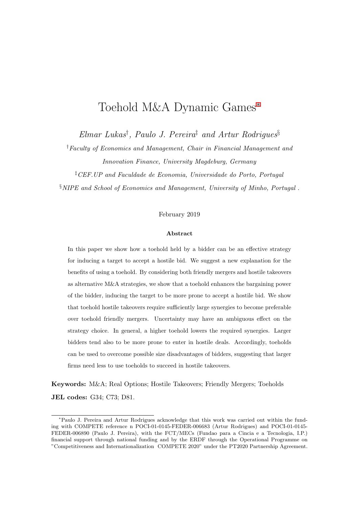# Toehold M&A Dynamic Games*<sup>∗</sup>*

*Elmar Lukas† , Paulo J. Pereira‡ and Artur Rodrigues§*

*†Faculty of Economics and Management, Chair in Financial Management and Innovation Finance, University Magdeburg, Germany*

*‡CEF.UP and Faculdade de Economia, Universidade do Porto, Portugal*

*§NIPE and School of Economics and Management, University of Minho, Portugal* .

#### February 2019

#### **Abstract**

In this paper we show how a toehold held by a bidder can be an effective strategy for inducing a target to accept a hostile bid. We suggest a new explanation for the benefits of using a toehold. By considering both friendly mergers and hostile takeovers as alternative M&A strategies, we show that a toehold enhances the bargaining power of the bidder, inducing the target to be more prone to accept a hostile bid. We show that toehold hostile takeovers require sufficiently large synergies to become preferable over toehold friendly mergers. Uncertainty may have an ambiguous effect on the strategy choice. In general, a higher toehold lowers the required synergies. Larger bidders tend also to be more prone to enter in hostile deals. Accordingly, toeholds can be used to overcome possible size disadvantages of bidders, suggesting that larger firms need less to use toeholds to succeed in hostile takeovers.

**Keywords:** M&A; Real Options; Hostile Takeovers; Friendly Mergers; Toeholds **JEL codes:** G34; C73; D81.

*<sup>∗</sup>*Paulo J. Pereira and Artur Rodrigues acknowledge that this work was carried out within the funding with COMPETE reference n POCI-01-0145-FEDER-006683 (Artur Rodrigues) and POCI-01-0145- FEDER-006890 (Paulo J. Pereira), with the FCT/MECs (Fundao para a Cincia e a Tecnologia, I.P.) financial support through national funding and by the ERDF through the Operational Programme on "Competitiveness and Internationalization COMPETE 2020" under the PT2020 Partnership Agreement.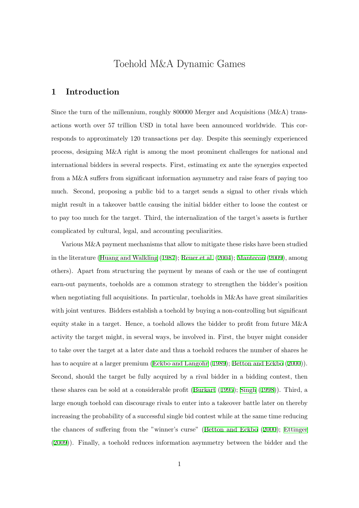# Toehold M&A Dynamic Games

### **1 Introduction**

Since the turn of the millennium, roughly 800000 Merger and Acquisitions (M&A) transactions worth over 57 trillion USD in total have been announced worldwide. This corresponds to approximately 120 transactions per day. Despite this seemingly experienced process, designing M&A right is among the most prominent challenges for national and international bidders in several respects. First, estimating ex ante the synergies expected from a M&A suffers from significant information asymmetry and raise fears of paying too much. Second, proposing a public bid to a target sends a signal to other rivals which might result in a takeover battle causing the initial bidder either to loose the contest or to pay too much for the target. Third, the internalization of the target's assets is further complicated by cultural, legal, and accounting peculiarities.

Various M&A payment mechanisms that allow to mitigate these risks have been studied in the literature (Huang and Walkling (1987); Reuer et al. (2004); Mantecon (2009), among others). Apart from structuring the payment by means of cash or the use of contingent earn-out payme[nts, toeholds are a common](#page-21-0) [strategy to](#page-22-0) s[treng](#page-22-0)t[hen the bidder's](#page-22-1) position when negotiating full acquisitions. In particular, toeholds in M&As have great similarities with joint ventures. Bidders establish a toehold by buying a non-controlling but significant equity stake in a target. Hence, a toehold allows the bidder to profit from future M&A activity the target might, in several ways, be involved in. First, the buyer might consider to take over the target at a later date and thus a toehold reduces the number of shares he has to acquire at a larger premium (Eckbo and Langohr (1989); Betton and Eckbo (2000)). Second, should the target be fully acquired by a rival bidder in a bidding contest, then these shares can be sold at a consi[derable profit \(Burka](#page-21-1)rt [\(19](#page-21-1)95); Singh [\(1998\)\).](#page-20-0) [Third,](#page-20-0) a large enough toehold can discourage rivals to enter into a takeover battle later on thereby increasing the probability of a successful single bi[d contest](#page-20-1) [while](#page-20-1) at [the same tim](#page-22-2)e reducing the chances of suffering from the "winner's curse" (Betton and Eckbo (2000); Ettinger (2009)). Finally, a toehold reduces information asymmetry between the bidder and the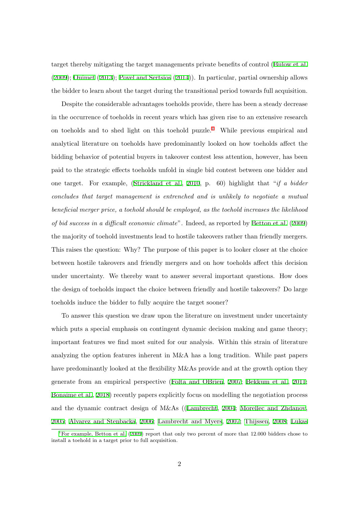target thereby mitigating the target managements private benefits of control (Bulow et al. (2009); Ouimet (2013); Povel and Sertsios (2014)). In particular, partial ownership allows the bidder to learn about the target during the transitional period towards full [acquisition.](#page-20-2)

[De](#page-20-2)s[pite the](#page-22-3) c[onsid](#page-22-3)er[able advantages to](#page-22-4)e[holds](#page-22-4) provide, there has been a steady decrease in the occurrence of toeholds in recent years which has given rise to an extensive research on toeholds and to shed light on this toehold  $puzzle.<sup>1</sup>$  While previous empirical and analytical literature on toeholds have predominantly looked on how toeholds affect the bidding behavior of potential buyers in takeover contest less attention, however, has been paid to the strategic effects toeholds unfold in single bid contest between one bidder and one target. For example, (Strickland et al., 2010, p. 60) highlight that "*if a bidder concludes that target management is entrenched and is unlikely to negotiate a mutual beneficial merger price, a toe[hold should be em](#page-22-5)pl[oyed,](#page-22-5) as the toehold increases the likelihood of bid success in a difficult economic climate*". Indeed, as reported by Betton et al. (2009) the majority of toehold investments lead to hostile takeovers rather than friendly mergers. This raises the question: Why? The purpose of this paper is to looker [closer at the](#page-20-3) [choice](#page-20-3) between hostile takeovers and friendly mergers and on how toeholds affect this decision under uncertainty. We thereby want to answer several important questions. How does the design of toeholds impact the choice between friendly and hostile takeovers? Do large toeholds induce the bidder to fully acquire the target sooner?

To answer this question we draw upon the literature on investment under uncertainty which puts a special emphasis on contingent dynamic decision making and game theory; important features we find most suited for our analysis. Within this strain of literature analyzing the option features inherent in M&A has a long tradition. While past papers have predominantly looked at the flexibility M&As provide and at the growth option they generate from an empirical perspective (Folta and OBrien, 2007; Bekkum et al., 2011; Bonaime et al., 2018) recently papers explicitly focus on modelling the negotiation process and the dynamic contract design of M&[As \(\(Lambrecht,](#page-21-2) 2[004;](#page-21-2) [Morellec and Zh](#page-20-4)d[anov](#page-20-4), 2005; [Alvarez](#page-20-5) [and S](#page-20-5)tenbacka, 2006; Lambrecht and Myers, 2007; Thijssen, 2008; Lukas

<sup>&</sup>lt;sup>1</sup>For example, Betton et al.  $(2009)$  report that only [two percent](#page-21-3) o[f more](#page-21-3) [that 12.000 bidders chose to](#page-22-6) install a toehold in a target prior to full acquisition.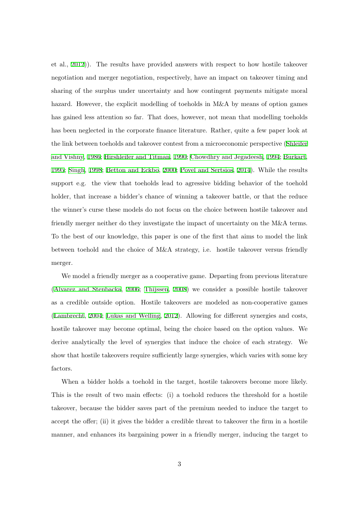et al., 2012)). The results have provided answers with respect to how hostile takeover negotiation and merger negotiation, respectively, have an impact on takeover timing and sharin[g of t](#page-21-4)he surplus under uncertainty and how contingent payments mitigate moral hazard. However, the explicit modelling of toeholds in M&A by means of option games has gained less attention so far. That does, however, not mean that modelling toeholds has been neglected in the corporate finance literature. Rather, quite a few paper look at the link between toeholds and takeover contest from a microeconomic perspective (Shleifer and Vishny, 1986; Hirshleifer and Titman, 1990; Chowdhry and Jegadeesh, 1994; Burkart, 1995; Singh, 1998; Betton and Eckbo, 2000; Povel and Sertsios, 2014). While th[e results](#page-22-7) [support e.g](#page-22-7). [the](#page-22-7) [view that toeholds lead to a](#page-21-5)[gressive bidding behavior](#page-21-6) [of th](#page-21-6)e [toehold](#page-20-1) [holde](#page-20-1)[r, that incre](#page-22-2)a[se a bidder's chance of w](#page-20-0)[inning a takeover battle,](#page-22-4) or that the reduce the winner's curse these models do not focus on the choice between hostile takeover and friendly merger neither do they investigate the impact of uncertainty on the M&A terms. To the best of our knowledge, this paper is one of the first that aims to model the link between toehold and the choice of M&A strategy, i.e. hostile takeover versus friendly merger.

We model a friendly merger as a cooperative game. Departing from previous literature (Alvarez and Stenbacka, 2006; Thijssen, 2008) we consider a possible hostile takeover as a credible outside option. Hostile takeovers are modeled as non-cooperative games [\(Lambrecht,](#page-20-6) 2004; Lukas [and](#page-20-6) [Welling,](#page-23-0) 20[12\). A](#page-23-0)llowing for different synergies and costs, hostile takeover may become optimal, being the choice based on the option values. We [derive analytically](#page-21-3) [the level of synergies th](#page-22-8)at induce the choice of each strategy. We show that hostile takeovers require sufficiently large synergies, which varies with some key factors.

When a bidder holds a toehold in the target, hostile takeovers become more likely. This is the result of two main effects: (i) a toehold reduces the threshold for a hostile takeover, because the bidder saves part of the premium needed to induce the target to accept the offer; (ii) it gives the bidder a credible threat to takeover the firm in a hostile manner, and enhances its bargaining power in a friendly merger, inducing the target to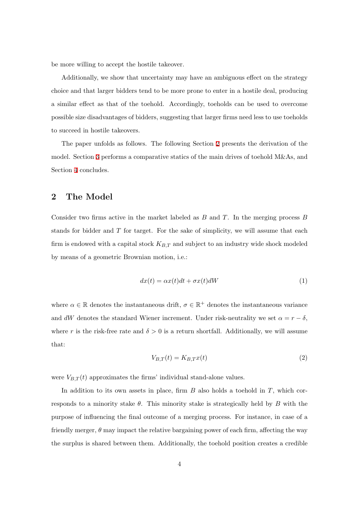be more willing to accept the hostile takeover.

Additionally, we show that uncertainty may have an ambiguous effect on the strategy choice and that larger bidders tend to be more prone to enter in a hostile deal, producing a similar effect as that of the toehold. Accordingly, toeholds can be used to overcome possible size disadvantages of bidders, suggesting that larger firms need less to use toeholds to succeed in hostile takeovers.

The paper unfolds as follows. The following Section 2 presents the derivation of the model. Section 3 performs a comparative statics of the main drives of toehold M&As, and Section 4 concludes.

### **2 T[h](#page-19-0)e Model**

Consider two firms active in the market labeled as *B* and *T*. In the merging process *B* stands for bidder and *T* for target. For the sake of simplicity, we will assume that each firm is endowed with a capital stock *KB,T* and subject to an industry wide shock modeled by means of a geometric Brownian motion, i.e.:

$$
dx(t) = \alpha x(t)dt + \sigma x(t)dW
$$
\n(1)

where  $\alpha \in \mathbb{R}$  denotes the instantaneous drift,  $\sigma \in \mathbb{R}^+$  denotes the instantaneous variance and *dW* denotes the standard Wiener increment. Under risk-neutrality we set  $\alpha = r - \delta$ , where *r* is the risk-free rate and  $\delta > 0$  is a return shortfall. Additionally, we will assume that:

$$
V_{B,T}(t) = K_{B,T}x(t)
$$
\n<sup>(2)</sup>

were  $V_{B,T}(t)$  approximates the firms' individual stand-alone values.

In addition to its own assets in place, firm *B* also holds a toehold in *T*, which corresponds to a minority stake *θ*. This minority stake is strategically held by *B* with the purpose of influencing the final outcome of a merging process. For instance, in case of a friendly merger, *θ* may impact the relative bargaining power of each firm, affecting the way the surplus is shared between them. Additionally, the toehold position creates a credible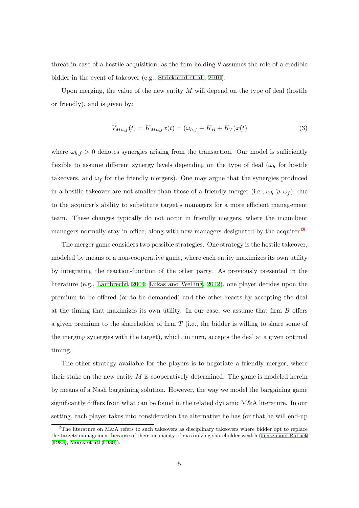threat in case of a hostile acquisition, as the firm holding  $\theta$  assumes the role of a credible bidder in the event of takeover (e.g., Strickland et al., 2010).

Upon merging, the value of the new entity M will depend on the type of deal (hostile or friendly), and is given by:

$$
V_{Mh,f}(t) = K_{Mh,f}x(t) = (\omega_{h,f} + K_B + K_T)x(t)
$$
\n(3)

where  $\omega_{h,f} > 0$  denotes synergies arising from the transaction. Our model is sufficiently flexible to assume different synergy levels depending on the type of deal (*ω<sup>h</sup>* for hostile takeovers, and  $\omega_f$  for the friendly mergers). One may argue that the synergies produced in a hostile takeover are not smaller than those of a friendly merger (i.e.,  $\omega_h \geq \omega_f$ ), due to the acquirer's ability to substitute target's managers for a more efficient management team. These changes typically do not occur in friendly mergers, where the incumbent managers normally stay in office, along with new managers designated by the acquirer.<sup>2</sup>

The merger game considers two possible strategies. One strategy is the hostile takeover, modeled by means of a non-cooperative game, where each entity maximizes its own utility by integrating the reaction-function of the other party. As previously presented in the literature (e.g., Lambrecht, 2004; Lukas and Welling, 2012), one player decides upon the premium to be offered (or to be demanded) and the other reacts by accepting the deal at the timing t[hat maximi](#page-21-3)z[es its](#page-21-3) [own utility. In our case,](#page-22-8) we assume that firm *B* offers a given premium to the shareholder of firm *T* (i.e., the bidder is willing to share some of the merging synergies with the target), which, in turn, accepts the deal at a given optimal timing.

The other strategy available for the players is to negotiate a friendly merger, where their stake on the new entity *M* is cooperatively determined. The game is modeled herein by means of a Nash bargaining solution. However, the way we model the bargaining game significantly differs from what can be found in the related dynamic M&A literature. In our setting, each player takes into consideration the alternative he has (or that he will end-up

<sup>&</sup>lt;sup>2</sup>The literature on M&A refers to such takeovers as disciplinary takeovers where bidder opt to replace the targets management because of their incapacity of maximizing shareholder wealth (Jensen and Ruback (1983); Morck et al. (1989)).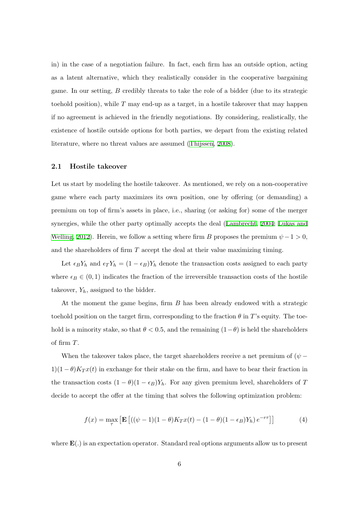in) in the case of a negotiation failure. In fact, each firm has an outside option, acting as a latent alternative, which they realistically consider in the cooperative bargaining game. In our setting, *B* credibly threats to take the role of a bidder (due to its strategic toehold position), while *T* may end-up as a target, in a hostile takeover that may happen if no agreement is achieved in the friendly negotiations. By considering, realistically, the existence of hostile outside options for both parties, we depart from the existing related literature, where no threat values are assumed (Thijssen, 2008).

### **2.1 Hostile takeover**

Let us start by modeling the hostile takeover. As mentioned, we rely on a non-cooperative game where each party maximizes its own position, one by offering (or demanding) a premium on top of firm's assets in place, i.e., sharing (or asking for) some of the merger synergies, while the other party optimally accepts the deal (Lambrecht, 2004; Lukas and Welling, 2012). Herein, we follow a setting where firm *B* proposes the premium  $\psi - 1 > 0$ , and the shareholders of firm *T* accept the deal at their value [maximizing timi](#page-21-3)[ng.](#page-22-8)

[Let](#page-22-8)  $\epsilon_B Y_h$  $\epsilon_B Y_h$  $\epsilon_B Y_h$  and  $\epsilon_T Y_h = (1 - \epsilon_B) Y_h$  denote the transaction costs assigned to each party where  $\epsilon_B \in (0,1)$  indicates the fraction of the irreversible transaction costs of the hostile takeover, *Yh*, assigned to the bidder.

At the moment the game begins, firm *B* has been already endowed with a strategic toehold position on the target firm, corresponding to the fraction  $\theta$  in *T*'s equity. The toehold is a minority stake, so that  $\theta$  < 0.5, and the remaining  $(1-\theta)$  is held the shareholders of firm *T*.

When the takeover takes place, the target shareholders receive a net premium of  $(\psi 1(1 - \theta)K_T x(t)$  in exchange for their stake on the firm, and have to bear their fraction in the transaction costs  $(1 - \theta)(1 - \epsilon_B)Y_h$ . For any given premium level, shareholders of *T* decide to accept the offer at the timing that solves the following optimization problem:

$$
f(x) = \max_{\tau} \left[ \mathbf{E} \left[ \left( (\psi - 1)(1 - \theta) K_T x(t) - (1 - \theta)(1 - \epsilon_B) Y_h \right) e^{-r\tau} \right] \right] \tag{4}
$$

where **E**(*.*) is an expectation operator. Standard real options arguments allow us to present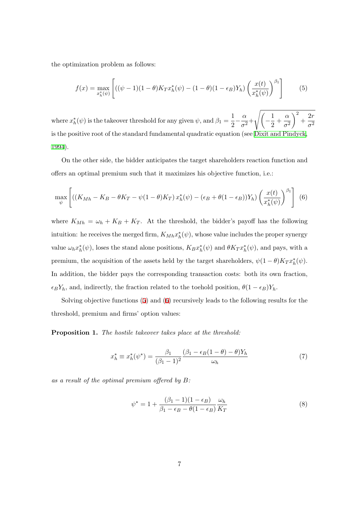the optimization problem as follows:

<span id="page-7-0"></span>
$$
f(x) = \max_{x_h^*(\psi)} \left[ ((\psi - 1)(1 - \theta)K_T x_h^*(\psi) - (1 - \theta)(1 - \epsilon_B)Y_h) \left( \frac{x(t)}{x_h^*(\psi)} \right)^{\beta_1} \right] \tag{5}
$$

where  $x_h^*(\psi)$  is the takeover threshold for any given  $\psi$ , and  $\beta_1 = \frac{1}{2}$ 2 *− α*  $\frac{a}{\sigma^2} +$ √( *−* 1  $\frac{1}{2} + \frac{\alpha}{\sigma^2}$  $\sigma^2$  $\setminus^2$  $+\frac{2r}{2}$  $\sigma^2$ is the positive root of the standard fundamental quadratic equation (see Dixit and Pindyck, 1994).

On the other side, the bidder anticipates the target shareholders re[action function and](#page-21-7) [offers](#page-21-7) an optimal premium such that it maximizes his objective function, i.e.:

<span id="page-7-1"></span>
$$
\max_{\psi} \left[ \left( \left( K_{Mh} - K_B - \theta K_T - \psi (1 - \theta) K_T \right) x_h^*(\psi) - (\epsilon_B + \theta (1 - \epsilon_B)) Y_h \right) \left( \frac{x(t)}{x_h^*(\psi)} \right)^{\beta_1} \right] \tag{6}
$$

where  $K_{Mh} = \omega_h + K_B + K_T$ . At the threshold, the bidder's payoff has the following intuition: he receives the merged firm,  $K_{Mh} x_h^*(\psi)$ , whose value includes the proper synergy value  $\omega_h x_h^*(\psi)$ , loses the stand alone positions,  $K_B x_h^*(\psi)$  and  $\theta K_T x_h^*(\psi)$ , and pays, with a premium, the acquisition of the assets held by the target shareholders,  $\psi(1-\theta)K_T x_h^*(\psi)$ . In addition, the bidder pays the corresponding transaction costs: both its own fraction,  $\epsilon_B Y_h$ , and, indirectly, the fraction related to the toehold position,  $\theta(1 - \epsilon_B) Y_h$ .

Solving objective functions (5) and (6) recursively leads to the following results for the threshold, premium and firms' option values:

**Proposition 1.** *The hostile ta[ke](#page-7-0)over t[ak](#page-7-1)es place at the threshold:*

$$
x_h^* \equiv x_h^*(\psi^*) = \frac{\beta_1}{(\beta_1 - 1)^2} \frac{(\beta_1 - \epsilon_B(1 - \theta) - \theta)Y_h}{\omega_h} \tag{7}
$$

*as a result of the optimal premium offered by B:*

<span id="page-7-3"></span><span id="page-7-2"></span>
$$
\psi^* = 1 + \frac{(\beta_1 - 1)(1 - \epsilon_B)}{\beta_1 - \epsilon_B - \theta(1 - \epsilon_B)} \frac{\omega_h}{K_T}
$$
\n(8)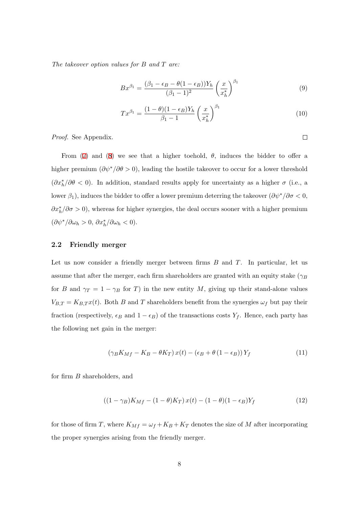*The takeover option values for B and T are:*

$$
Bx^{\beta_1} = \frac{(\beta_1 - \epsilon_B - \theta(1 - \epsilon_B))Y_h}{(\beta_1 - 1)^2} \left(\frac{x}{x_h^*}\right)^{\beta_1} \tag{9}
$$

$$
Tx^{\beta_1} = \frac{(1-\theta)(1-\epsilon_B)Y_h}{\beta_1 - 1} \left(\frac{x}{x_h^*}\right)^{\beta_1} \tag{10}
$$

*Proof.* See Appendix.

From (7) and (8) we see that a higher toehold,  $\theta$ , induces the bidder to offer a higher premium (*∂ψ∗/∂θ >* 0), leading the hostile takeover to occur for a lower threshold  $(\partial x_h^*/\partial \theta < 0)$  $(\partial x_h^*/\partial \theta < 0)$  $(\partial x_h^*/\partial \theta < 0)$ . In [ad](#page-7-3)dition, standard results apply for uncertainty as a higher  $\sigma$  (i.e., a lower  $\beta_1$ ), induces the bidder to offer a lower premium deterring the takeover  $(\partial \psi^*/\partial \sigma < 0$ ,  $\partial x_h^* / \partial \sigma > 0$ ), whereas for higher synergies, the deal occurs sooner with a higher premium  $(\partial \psi^*/\partial \omega_h > 0, \, \partial x_h^*/\partial \omega_h < 0).$ 

### **2.2 Friendly merger**

Let us now consider a friendly merger between firms *B* and *T*. In particular, let us assume that after the merger, each firm shareholders are granted with an equity stake (*γ<sup>B</sup>* for *B* and  $\gamma_T = 1 - \gamma_B$  for *T*) in the new entity *M*, giving up their stand-alone values  $V_{B,T} = K_{B,T} x(t)$ . Both *B* and *T* shareholders benefit from the synergies  $\omega_f$  but pay their fraction (respectively,  $\epsilon_B$  and  $1 - \epsilon_B$ ) of the transactions costs  $Y_f$ . Hence, each party has the following net gain in the merger:

$$
\left(\gamma_B K_{Mf} - K_B - \theta K_T\right) x(t) - \left(\epsilon_B + \theta \left(1 - \epsilon_B\right)\right) Y_f \tag{11}
$$

for firm *B* shareholders, and

$$
((1 - \gamma_B)K_{Mf} - (1 - \theta)K_T)x(t) - (1 - \theta)(1 - \epsilon_B)Y_f
$$
\n(12)

for those of firm *T*, where  $K_{Mf} = \omega_f + K_B + K_T$  denotes the size of *M* after incorporating the proper synergies arising from the friendly merger.

 $\Box$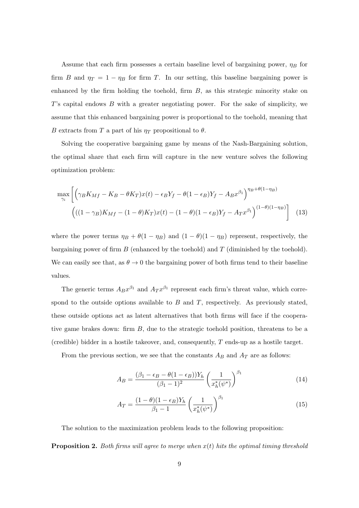Assume that each firm possesses a certain baseline level of bargaining power,  $\eta_B$  for firm *B* and  $\eta_T = 1 - \eta_B$  for firm *T*. In our setting, this baseline bargaining power is enhanced by the firm holding the toehold, firm *B*, as this strategic minority stake on *T*'s capital endows *B* with a greater negotiating power. For the sake of simplicity, we assume that this enhanced bargaining power is proportional to the toehold, meaning that *B* extracts from *T* a part of his  $\eta_T$  propositional to  $\theta$ .

Solving the cooperative bargaining game by means of the Nash-Bargaining solution, the optimal share that each firm will capture in the new venture solves the following optimization problem:

$$
\max_{\gamma_i} \left[ \left( \gamma_B K_{Mf} - K_B - \theta K_T \right) x(t) - \epsilon_B Y_f - \theta (1 - \epsilon_B) Y_f - A_B x^{\beta_1} \right)^{\eta_B + \theta (1 - \eta_B)} \left( ((1 - \gamma_B) K_{Mf} - (1 - \theta) K_T) x(t) - (1 - \theta)(1 - \epsilon_B) Y_f - A_T x^{\beta_1} \right)^{(1 - \theta)(1 - \eta_B)} \right]
$$
(13)

where the power terms  $\eta_B + \theta(1 - \eta_B)$  and  $(1 - \theta)(1 - \eta_B)$  represent, respectively, the bargaining power of firm *B* (enhanced by the toehold) and *T* (diminished by the toehold). We can easily see that, as  $\theta \to 0$  the bargaining power of both firms tend to their baseline values.

The generic terms  $A_B x^{\beta_1}$  and  $A_T x^{\beta_1}$  represent each firm's threat value, which correspond to the outside options available to *B* and *T*, respectively. As previously stated, these outside options act as latent alternatives that both firms will face if the cooperative game brakes down: firm *B*, due to the strategic toehold position, threatens to be a (credible) bidder in a hostile takeover, and, consequently, *T* ends-up as a hostile target.

From the previous section, we see that the constants  $A_B$  and  $A_T$  are as follows:

$$
A_B = \frac{(\beta_1 - \epsilon_B - \theta (1 - \epsilon_B)) Y_h}{(\beta_1 - 1)^2} \left(\frac{1}{x_h^*(\psi^*)}\right)^{\beta_1}
$$
(14)

$$
A_T = \frac{(1 - \theta)(1 - \epsilon_B)Y_h}{\beta_1 - 1} \left(\frac{1}{x_h^*(\psi^*)}\right)^{\beta_1} \tag{15}
$$

The solution to the maximization problem leads to the following proposition:

**Proposition 2.** *Both firms will agree to merge when x*(*t*) *hits the optimal timing threshold*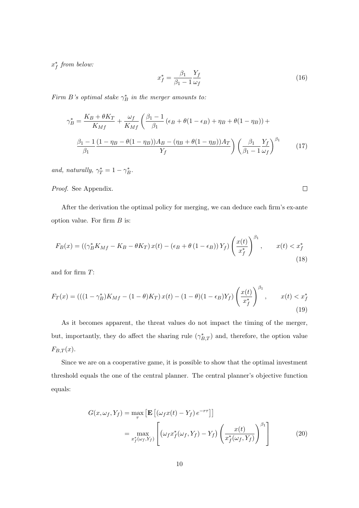<span id="page-10-0"></span>*x ∗ f from below:*

$$
x_f^* = \frac{\beta_1}{\beta_1 - 1} \frac{Y_f}{\omega_f} \tag{16}
$$

*Firm B*'s optimal stake  $\gamma_B^*$  in the merger amounts to:

$$
\gamma_B^* = \frac{K_B + \theta K_T}{K_{Mf}} + \frac{\omega_f}{K_{Mf}} \left( \frac{\beta_1 - 1}{\beta_1} \left( \epsilon_B + \theta (1 - \epsilon_B) + \eta_B + \theta (1 - \eta_B) \right) + \frac{\beta_1 - 1}{\beta_1} \frac{(1 - \eta_B - \theta (1 - \eta_B))A_B - (\eta_B + \theta (1 - \eta_B))A_T}{Y_f} \right) \left( \frac{\beta_1}{\beta_1 - 1} \frac{Y_f}{\omega_f} \right)^{\beta_1} \tag{17}
$$

*and, naturally,*  $\gamma^*_{T} = 1 - \gamma^*_{B}$ .

*Proof.* See Appendix.

After the derivation the optimal policy for merging, we can deduce each firm's ex-ante option value. For firm *B* is:

$$
F_B(x) = \left( \left( \gamma_B^* K_{Mf} - K_B - \theta K_T \right) x(t) - \left( \epsilon_B + \theta \left( 1 - \epsilon_B \right) \right) Y_f \right) \left( \frac{x(t)}{x_f^*} \right)^{\beta_1}, \qquad x(t) < x_f^* \tag{18}
$$

and for firm *T*:

$$
F_T(x) = (((1 - \gamma_B^*)K_{Mf} - (1 - \theta)K_T) x(t) - (1 - \theta)(1 - \epsilon_B)Y_f) \left(\frac{x(t)}{x_f^*}\right)^{\beta_1}, \qquad x(t) < x_f^* \tag{19}
$$

As it becomes apparent, the threat values do not impact the timing of the merger, but, importantly, they do affect the sharing rule  $(\gamma_{B,T}^*)$  and, therefore, the option value  $F_{B,T}(x)$ .

Since we are on a cooperative game, it is possible to show that the optimal investment threshold equals the one of the central planner. The central planner's objective function equals:

$$
G(x, \omega_f, Y_f) = \max_{\tau} \left[ \mathbf{E} \left[ (\omega_f x(t) - Y_f) e^{-r\tau} \right] \right]
$$
  

$$
= \max_{x_f^* (\omega_f, Y_f)} \left[ (\omega_f x_f^* (\omega_f, Y_f) - Y_f) \left( \frac{x(t)}{x_f^* (\omega_f, Y_f)} \right)^{\beta_1} \right]
$$
(20)

 $\Box$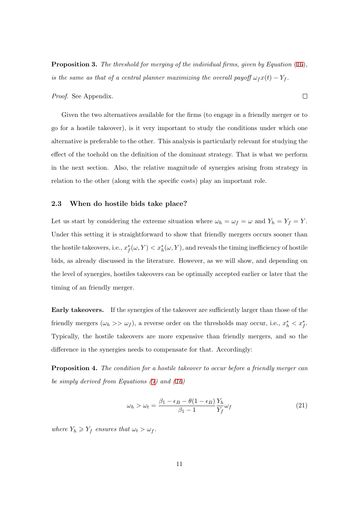**Proposition 3.** *The threshold for merging of the individual firms, given by Equation* (16)*, is the same as that of a central planner maximizing the overall payoff*  $\omega_f x(t) - Y_f$ .

*Proof.* See Appendix.

Given the two alternatives available for the firms (to engage in a friendly merger or to go for a hostile takeover), is it very important to study the conditions under which one alternative is preferable to the other. This analysis is particularly relevant for studying the effect of the toehold on the definition of the dominant strategy. That is what we perform in the next section. Also, the relative magnitude of synergies arising from strategy in relation to the other (along with the specific costs) play an important role.

#### **2.3 When do hostile bids take place?**

Let us start by considering the extreme situation where  $\omega_h = \omega_f = \omega$  and  $Y_h = Y_f = Y$ . Under this setting it is straightforward to show that friendly mergers occurs sooner than the hostile takeovers, i.e.,  $x_f^*(\omega, Y) < x_h^*(\omega, Y)$ , and reveals the timing inefficiency of hostile bids, as already discussed in the literature. However, as we will show, and depending on the level of synergies, hostiles takeovers can be optimally accepted earlier or later that the timing of an friendly merger.

**Early takeovers.** If the synergies of the takeover are sufficiently larger than those of the friendly mergers  $(\omega_h \gg \omega_f)$ , a reverse order on the thresholds may occur, i.e.,  $x_h^* \lt x_f^*$ . Typically, the hostile takeovers are more expensive than friendly mergers, and so the difference in the synergies needs to compensate for that. Accordingly:

**Proposition 4.** *The condition for a hostile takeover to occur before a friendly merger can be simply derived from Equations (7) and (16)*

<span id="page-11-0"></span>
$$
\omega_h > \omega_t = \frac{\beta_1 - \epsilon_B - \theta (1 - \epsilon_B)}{\beta_1 - 1} \frac{Y_h}{Y_f} \omega_f \tag{21}
$$

*where*  $Y_h \geq Y_f$  *ensures that*  $\omega_t > \omega_f$ *.* 

 $\Box$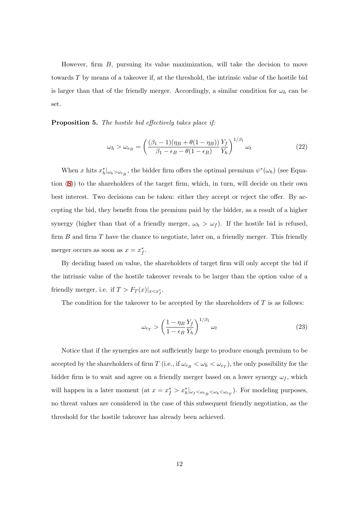However, firm *B*, pursuing its value maximization, will take the decision to move towards *T* by means of a takeover if, at the threshold, the intrinsic value of the hostile bid is larger than that of the friendly merger. Accordingly, a similar condition for  $\omega_h$  can be set.

**Proposition 5.** *The hostile bid effectively takes place if:*

$$
\omega_h > \omega_{e_B} = \left(\frac{(\beta_1 - 1)(\eta_B + \theta(1 - \eta_B))}{\beta_1 - \epsilon_B - \theta(1 - \epsilon_B)} \frac{Y_f}{Y_h}\right)^{1/\beta_1} \omega_t
$$
\n(22)

When *x* hits  $x_h^*|_{\omega_h > \omega_{e_B}}$ , the bidder firm offers the optimal premium  $\psi^*(\omega_h)$  (see Equation (8)) to the shareholders of the target firm, which, in turn, will decide on their own best interest. Two decisions can be taken: either they accept or reject the offer. By accepti[ng](#page-7-3) the bid, they benefit from the premium paid by the bidder, as a result of a higher synergy (higher than that of a friendly merger,  $\omega_h > \omega_f$ ). If the hostile bid is refused, firm *B* and firm *T* have the chance to negotiate, later on, a friendly merger. This friendly merger occurs as soon as  $x = x_f^*$ .

By deciding based on value, the shareholders of target firm will only accept the bid if the intrinsic value of the hostile takeover reveals to be larger than the option value of a friendly merger, i.e. if  $T > F_T(x)|_{x < x_f^*}$ .

The condition for the takeover to be accepted by the shareholders of *T* is as follows:

<span id="page-12-0"></span>
$$
\omega_{e_T} > \left(\frac{1 - \eta_B Y_f}{1 - \epsilon_B Y_h}\right)^{1/\beta_1} \omega_t \tag{23}
$$

Notice that if the synergies are not sufficiently large to produce enough premium to be accepted by the shareholders of firm *T* (i.e., if  $\omega_{e_B} < \omega_h < \omega_{e_T}$ ), the only possibility for the bidder firm is to wait and agree on a friendly merger based on a lower synergy  $\omega_f$ , which will happen in a later moment (at  $x = x_f^* > x_h^*|_{\omega_f \langle \omega_{e_B} \langle \omega_h \rangle}$ ). For modeling purposes, no threat values are considered in the case of this subsequent friendly negotiation, as the threshold for the hostile takeover has already been achieved.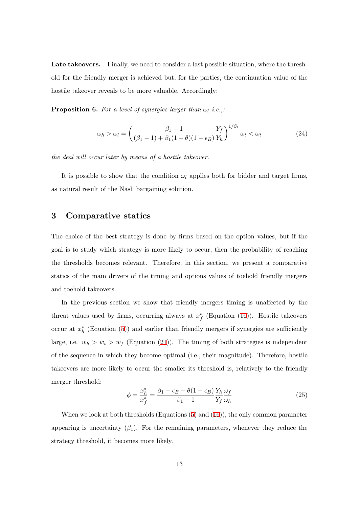**Late takeovers.** Finally, we need to consider a last possible situation, where the threshold for the friendly merger is achieved but, for the parties, the continuation value of the hostile takeover reveals to be more valuable. Accordingly:

**Proposition 6.** For a level of synergies larger than  $\omega_l$  i.e.,:

<span id="page-13-0"></span>
$$
\omega_h > \omega_l = \left(\frac{\beta_1 - 1}{(\beta_1 - 1) + \beta_1(1 - \theta)(1 - \epsilon_B)} \frac{Y_f}{Y_h}\right)^{1/\beta_1} \omega_t < \omega_t \tag{24}
$$

*the deal will occur later by means of a hostile takeover.*

It is possible to show that the condition  $\omega_l$  applies both for bidder and target firms, as natural result of the Nash bargaining solution.

### **3 Comparative statics**

The choice of the best strategy is done by firms based on the option values, but if the goal is to study which strategy is more likely to occur, then the probability of reaching the thresholds becomes relevant. Therefore, in this section, we present a comparative statics of the main drivers of the timing and options values of toehold friendly mergers and toehold takeovers.

In the previous section we show that friendly mergers timing is unaffected by the threat values used by firms, occurring always at *x ∗ f* (Equation (16)). Hostile takeovers occur at  $x<sub>h</sub><sup>*</sup>$  (Equation (5)) and earlier than friendly mergers if synergies are sufficiently large, i.e.  $w_h > w_f$  (Equation (21)). The timing of both s[tra](#page-10-0)tegies is independent of the sequence in whic[h](#page-7-0) they become optimal (i.e., their magnitude). Therefore, hostile takeovers are more likely to occur th[e s](#page-11-0)maller its threshold is, relatively to the friendly merger threshold:

$$
\phi = \frac{x_h^*}{x_f^*} = \frac{\beta_1 - \epsilon_B - \theta(1 - \epsilon_B)}{\beta_1 - 1} \frac{Y_h}{Y_f} \frac{\omega_f}{\omega_h} \tag{25}
$$

When we look at both thresholds (Equations  $(5)$  and  $(16)$ ), the only common parameter appearing is uncertainty  $(\beta_1)$ . For the remaining parameters, whenever they reduce the strategy threshold, it becomes more likely.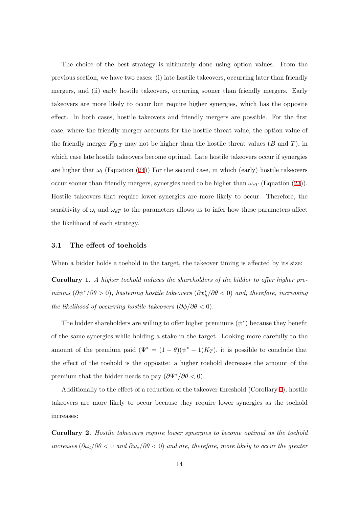The choice of the best strategy is ultimately done using option values. From the previous section, we have two cases: (i) late hostile takeovers, occurring later than friendly mergers, and (ii) early hostile takeovers, occurring sooner than friendly mergers. Early takeovers are more likely to occur but require higher synergies, which has the opposite effect. In both cases, hostile takeovers and friendly mergers are possible. For the first case, where the friendly merger accounts for the hostile threat value, the option value of the friendly merger  $F_{B,T}$  may not be higher than the hostile threat values ( $B$  and  $T$ ), in which case late hostile takeovers become optimal. Late hostile takeovers occur if synergies are higher that  $\omega_l$  (Equation (24)) For the second case, in which (early) hostile takeovers occur sooner than friendly mergers, synergies need to be higher than  $\omega_{eT}$  (Equation (23)). Hostile takeovers that requir[e lo](#page-13-0)wer synergies are more likely to occur. Therefore, the sensitivity of  $\omega_l$  and  $\omega_{eT}$  to the parameters allows us to infer how these parameters [affe](#page-12-0)ct the likelihood of each strategy.

#### **3.1 The effect of toeholds**

When a bidder holds a toehold in the target, the takeover timing is affected by its size:

**Corollary 1.** *A higher toehold induces the shareholders of the bidder to offer higher premiums* ( $\partial \psi^*/\partial \theta > 0$ ), hastening hostile takeovers ( $\partial x_h^*/\partial \theta < 0$ ) and, therefore, increasing *the likelihood of occurring hostile takeovers*  $(\partial \phi / \partial \theta < 0)$ *.* 

The bidder shareholders are willing to offer higher premiums (*ψ ∗* ) because they benefit of the same synergies while holding a stake in the target. Looking more carefully to the amount of the premium paid  $(\Psi^* = (1 - \theta)(\psi^* - 1)K_T)$ , it is possible to conclude that the effect of the toehold is the opposite: a higher toehold decreases the amount of the premium that the bidder needs to pay  $(\partial \Psi^*/\partial \theta < 0)$ .

Additionally to the effect of a reduction of the takeover threshold (Corollary 1), hostile takeovers are more likely to occur because they require lower synergies as the toehold increases:

**Corollary 2.** *Hostile takeovers require lower synergies to become optimal as the toehold increases* (*∂ωl/∂θ <* 0 *and ∂ωe/∂θ <* 0) *and are, therefore, more likely to occur the greater*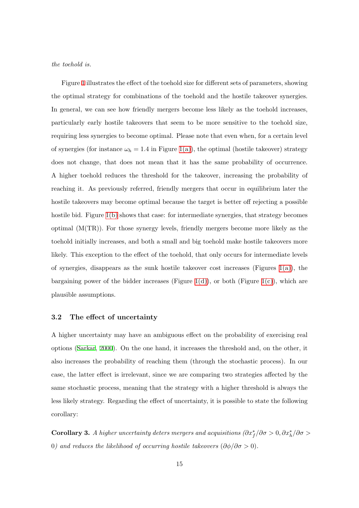*the toehold is.*

Figure 1 illustrates the effect of the toehold size for different sets of parameters, showing the optimal strategy for combinations of the toehold and the hostile takeover synergies. In general[, w](#page-16-0)e can see how friendly mergers become less likely as the toehold increases, particularly early hostile takeovers that seem to be more sensitive to the toehold size, requiring less synergies to become optimal. Please note that even when, for a certain level of synergies (for instance  $\omega_h = 1.4$  in Figure 1(a)), the optimal (hostile takeover) strategy does not change, that does not mean that it has the same probability of occurrence. A higher toehold reduces the threshold fo[r the](#page-16-1) takeover, increasing the probability of reaching it. As previously referred, friendly mergers that occur in equilibrium later the hostile takeovers may become optimal because the target is better off rejecting a possible hostile bid. Figure 1(b) shows that case: for intermediate synergies, that strategy becomes optimal (M(TR)). For those synergy levels, friendly mergers become more likely as the toehold initially in[creas](#page-16-2)es, and both a small and big toehold make hostile takeovers more likely. This exception to the effect of the toehold, that only occurs for intermediate levels of synergies, disappears as the sunk hostile takeover cost increases (Figures 1(a)), the bargaining power of the bidder increases (Figure 1(d)), or both (Figure 1(c)), which are plausible assumptions.

#### **3.2 The effect of uncertainty**

A higher uncertainty may have an ambiguous effect on the probability of exercising real options (Sarkar, 2000). On the one hand, it increases the threshold and, on the other, it also increases the probability of reaching them (through the stochastic process). In our case, the [latter](#page-22-9) [effect](#page-22-9) is irrelevant, since we are comparing two strategies affected by the same stochastic process, meaning that the strategy with a higher threshold is always the less likely strategy. Regarding the effect of uncertainty, it is possible to state the following corollary:

<span id="page-15-0"></span>**Corollary 3.** *A higher uncertainty deters mergers and acquisitions*  $(\partial x_f^*/\partial \sigma > 0, \partial x_h^*/\partial \sigma > 0)$ 0*)* and reduces the likelihood of occurring hostile takeovers  $(\partial \phi / \partial \sigma > 0)$ .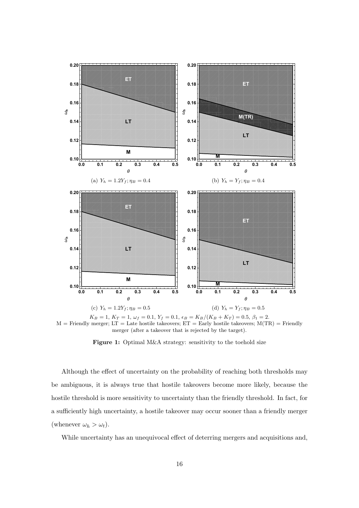<span id="page-16-2"></span><span id="page-16-1"></span><span id="page-16-0"></span>

 $K_B = 1, K_T = 1, \omega_f = 0.1, Y_f = 0.1, \epsilon_B = K_B/(K_B + K_T) = 0.5, \beta_1 = 2.$  $M =$  Friendly merger; LT = Late hostile takeovers; ET = Early hostile takeovers;  $M(TR) =$  Friendly merger (after a takeover that is rejected by the target).

**Figure 1:** Optimal M&A strategy: sensitivity to the toehold size

Although the effect of uncertainty on the probability of reaching both thresholds may be ambiguous, it is always true that hostile takeovers become more likely, because the hostile threshold is more sensitivity to uncertainty than the friendly threshold. In fact, for a sufficiently high uncertainty, a hostile takeover may occur sooner than a friendly merger (whenever  $\omega_h > \omega_t$ ).

While uncertainty has an unequivocal effect of deterring mergers and acquisitions and,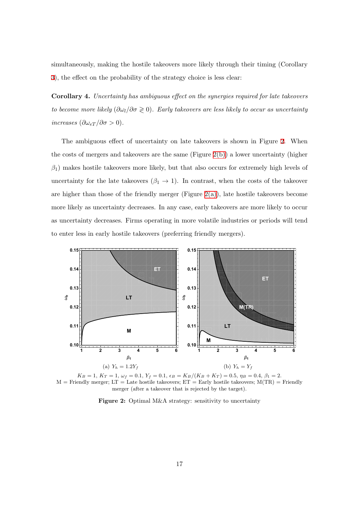simultaneously, making the hostile takeovers more likely through their timing (Corollary 3), the effect on the probability of the strategy choice is less clear:

**Corollary 4.** *Uncertainty has ambiguous effect on the synergies required for late takeovers [to](#page-15-0)* become more likely  $(\partial \omega_l / \partial \sigma \geq 0)$ . Early takeovers are less likely to occur as uncertainty *increases*  $(\partial \omega_{eT}/\partial \sigma > 0)$ *.* 

The ambiguous effect of uncertainty on late takeovers is shown in Figure 2. When the costs of mergers and takeovers are the same (Figure  $2(b)$ ) a lower uncertainty (higher *β*1) makes hostile takeovers more likely, but that also occurs for extremely hig[h](#page-17-0) levels of uncertainty for the late takeovers  $(\beta_1 \rightarrow 1)$ . In contras[t, wh](#page-17-1)en the costs of the takeover are higher than those of the friendly merger (Figure  $2(a)$ ), late hostile takeovers become more likely as uncertainty decreases. In any case, early takeovers are more likely to occur as uncertainty decreases. Firms operating in more vo[latile](#page-17-2) industries or periods will tend to enter less in early hostile takeovers (preferring friendly mergers).

<span id="page-17-2"></span><span id="page-17-0"></span>



<span id="page-17-1"></span>Figure 2: Optimal M&A strategy: sensitivity to uncertainty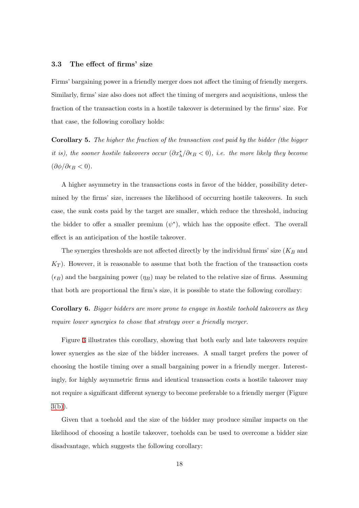### **3.3 The effect of firms' size**

Firms' bargaining power in a friendly merger does not affect the timing of friendly mergers. Similarly, firms' size also does not affect the timing of mergers and acquisitions, unless the fraction of the transaction costs in a hostile takeover is determined by the firms' size. For that case, the following corollary holds:

**Corollary 5.** *The higher the fraction of the transaction cost paid by the bidder (the bigger it is), the sooner hostile takeovers occur*  $(\partial x_h^*/\partial \epsilon_B < 0)$ *, i.e. the more likely they become* (*∂ϕ/∂ϵ<sup>B</sup> <* 0)*.*

A higher asymmetry in the transactions costs in favor of the bidder, possibility determined by the firms' size, increases the likelihood of occurring hostile takeovers. In such case, the sunk costs paid by the target are smaller, which reduce the threshold, inducing the bidder to offer a smaller premium  $(\psi^*)$ , which has the opposite effect. The overall effect is an anticipation of the hostile takeover.

The synergies thresholds are not affected directly by the individual firms' size (*K<sup>B</sup>* and  $K_T$ ). However, it is reasonable to assume that both the fraction of the transaction costs  $(\epsilon_B)$  and the bargaining power  $(\eta_B)$  may be related to the relative size of firms. Assuming that both are proportional the firm's size, it is possible to state the following corollary:

**Corollary 6.** *Bigger bidders are more prone to engage in hostile toehold takeovers as they require lower synergies to chose that strategy over a friendly merger.*

Figure 3 illustrates this corollary, showing that both early and late takeovers require lower synergies as the size of the bidder increases. A small target prefers the power of choosing t[he](#page-19-1) hostile timing over a small bargaining power in a friendly merger. Interestingly, for highly asymmetric firms and identical transaction costs a hostile takeover may not require a significant different synergy to become preferable to a friendly merger (Figure  $3(b)$ ).

Given that a toehold and the size of the bidder may produce similar impacts on the [likeli](#page-19-2)hood of choosing a hostile takeover, toeholds can be used to overcome a bidder size disadvantage, which suggests the following corollary: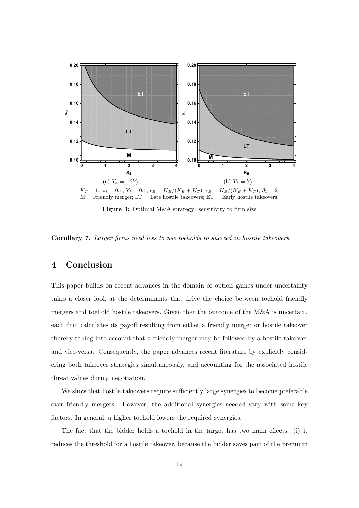<span id="page-19-1"></span>

<span id="page-19-2"></span>**Figure 3:** Optimal M&A strategy: sensitivity to firm size

**Corollary 7.** *Larger firms need less to use toeholds to succeed in hostile takeovers.*

### <span id="page-19-0"></span>**4 Conclusion**

This paper builds on recent advances in the domain of option games under uncertainty takes a closer look at the determinants that drive the choice between toehold friendly mergers and toehold hostile takeovers. Given that the outcome of the M&A is uncertain, each firm calculates its payoff resulting from either a friendly merger or hostile takeover thereby taking into account that a friendly merger may be followed by a hostile takeover and vice-versa. Consequently, the paper advances recent literature by explicitly considering both takeover strategies simultaneously, and accounting for the associated hostile threat values during negotiation.

We show that hostile takeovers require sufficiently large synergies to become preferable over friendly mergers. However, the additional synergies needed vary with some key factors. In general, a higher toehold lowers the required synergies.

The fact that the bidder holds a toehold in the target has two main effects: (i) it reduces the threshold for a hostile takeover, because the bidder saves part of the premium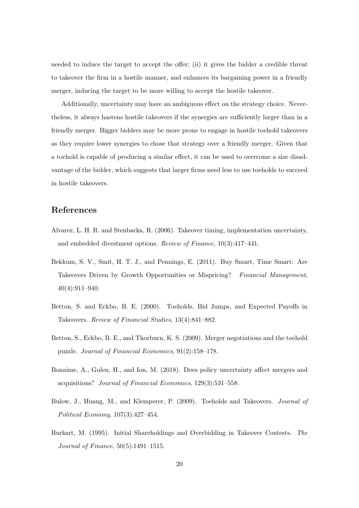needed to induce the target to accept the offer; (ii) it gives the bidder a credible threat to takeover the firm in a hostile manner, and enhances its bargaining power in a friendly merger, inducing the target to be more willing to accept the hostile takeover.

Additionally, uncertainty may have an ambiguous effect on the strategy choice. Nevertheless, it always hastens hostile takeovers if the synergies are sufficiently larger than in a friendly merger. Bigger bidders may be more prone to engage in hostile toehold takeovers as they require lower synergies to chose that strategy over a friendly merger. Given that a toehold is capable of producing a similar effect, it can be used to overcome a size disadvantage of the bidder, which suggests that larger firms need less to use toeholds to succeed in hostile takeovers.

### **References**

- <span id="page-20-6"></span>Alvarez, L. H. R. and Stenbacka, R. (2006). Takeover timing, implementation uncertainty, and embedded divestment options. *Review of Finance*, 10(3):417–441.
- <span id="page-20-4"></span>Bekkum, S. V., Smit, H. T. J., and Pennings, E. (2011). Buy Smart, Time Smart: Are Takeovers Driven by Growth Opportunities or Mispricing? *Financial Management*, 40(4):911–940.
- <span id="page-20-0"></span>Betton, S. and Eckbo, B. E. (2000). Toeholds, Bid Jumps, and Expected Payoffs in Takeovers. *Review of Financial Studies*, 13(4):841–882.
- <span id="page-20-3"></span>Betton, S., Eckbo, B. E., and Thorburn, K. S. (2009). Merger negotiations and the toehold puzzle. *Journal of Financial Economics*, 91(2):158–178.
- <span id="page-20-5"></span>Bonaime, A., Gulen, H., and Ion, M. (2018). Does policy uncertainty affect mergers and acquisitions? *Journal of Financial Economics*, 129(3):531–558.
- <span id="page-20-2"></span>Bulow, J., Huang, M., and Klemperer, P. (2009). Toeholds and Takeovers. *Journal of Political Economy*, 107(3):427–454.
- <span id="page-20-1"></span>Burkart, M. (1995). Initial Shareholdings and Overbidding in Takeover Contests. *The Journal of Finance*, 50(5):1491–1515.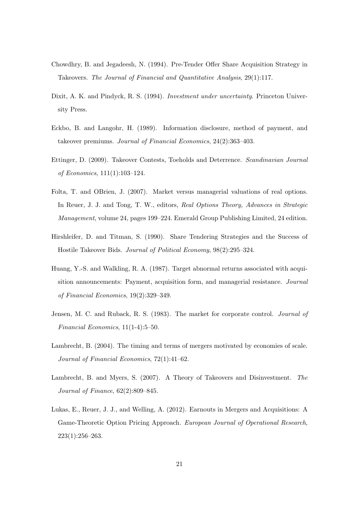- <span id="page-21-6"></span>Chowdhry, B. and Jegadeesh, N. (1994). Pre-Tender Offer Share Acquisition Strategy in Takeovers. *The Journal of Financial and Quantitative Analysis*, 29(1):117.
- <span id="page-21-7"></span>Dixit, A. K. and Pindyck, R. S. (1994). *Investment under uncertainty*. Princeton University Press.
- <span id="page-21-1"></span>Eckbo, B. and Langohr, H. (1989). Information disclosure, method of payment, and takeover premiums. *Journal of Financial Economics*, 24(2):363–403.
- Ettinger, D. (2009). Takeover Contests, Toeholds and Deterrence. *Scandinavian Journal of Economics*, 111(1):103–124.
- <span id="page-21-2"></span>Folta, T. and OBrien, J. (2007). Market versus managerial valuations of real options. In Reuer, J. J. and Tong, T. W., editors, *Real Options Theory, Advances in Strategic Management*, volume 24, pages 199–224. Emerald Group Publishing Limited, 24 edition.
- <span id="page-21-5"></span>Hirshleifer, D. and Titman, S. (1990). Share Tendering Strategies and the Success of Hostile Takeover Bids. *Journal of Political Economy*, 98(2):295–324.
- <span id="page-21-0"></span>Huang, Y.-S. and Walkling, R. A. (1987). Target abnormal returns associated with acquisition announcements: Payment, acquisition form, and managerial resistance. *Journal of Financial Economics*, 19(2):329–349.
- Jensen, M. C. and Ruback, R. S. (1983). The market for corporate control. *Journal of Financial Economics*, 11(1-4):5–50.
- <span id="page-21-3"></span>Lambrecht, B. (2004). The timing and terms of mergers motivated by economies of scale. *Journal of Financial Economics*, 72(1):41–62.
- Lambrecht, B. and Myers, S. (2007). A Theory of Takeovers and Disinvestment. *The Journal of Finance*, 62(2):809–845.
- <span id="page-21-4"></span>Lukas, E., Reuer, J. J., and Welling, A. (2012). Earnouts in Mergers and Acquisitions: A Game-Theoretic Option Pricing Approach. *European Journal of Operational Research*, 223(1):256–263.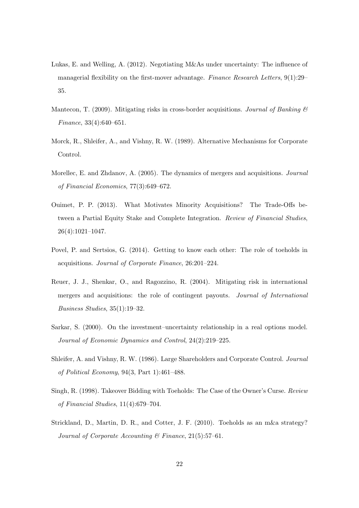- <span id="page-22-8"></span>Lukas, E. and Welling, A. (2012). Negotiating M&As under uncertainty: The influence of managerial flexibility on the first-mover advantage. *Finance Research Letters*, 9(1):29– 35.
- <span id="page-22-1"></span>Mantecon, T. (2009). Mitigating risks in cross-border acquisitions. *Journal of Banking & Finance*, 33(4):640–651.
- Morck, R., Shleifer, A., and Vishny, R. W. (1989). Alternative Mechanisms for Corporate Control.
- <span id="page-22-6"></span>Morellec, E. and Zhdanov, A. (2005). The dynamics of mergers and acquisitions. *Journal of Financial Economics*, 77(3):649–672.
- <span id="page-22-3"></span>Ouimet, P. P. (2013). What Motivates Minority Acquisitions? The Trade-Offs between a Partial Equity Stake and Complete Integration. *Review of Financial Studies*, 26(4):1021–1047.
- <span id="page-22-4"></span>Povel, P. and Sertsios, G. (2014). Getting to know each other: The role of toeholds in acquisitions. *Journal of Corporate Finance*, 26:201–224.
- <span id="page-22-0"></span>Reuer, J. J., Shenkar, O., and Ragozzino, R. (2004). Mitigating risk in international mergers and acquisitions: the role of contingent payouts. *Journal of International Business Studies*, 35(1):19–32.
- <span id="page-22-9"></span>Sarkar, S. (2000). On the investment–uncertainty relationship in a real options model. *Journal of Economic Dynamics and Control*, 24(2):219–225.
- <span id="page-22-7"></span>Shleifer, A. and Vishny, R. W. (1986). Large Shareholders and Corporate Control. *Journal of Political Economy*, 94(3, Part 1):461–488.
- <span id="page-22-2"></span>Singh, R. (1998). Takeover Bidding with Toeholds: The Case of the Owner's Curse. *Review of Financial Studies*, 11(4):679–704.
- <span id="page-22-5"></span>Strickland, D., Martin, D. R., and Cotter, J. F. (2010). Toeholds as an m&a strategy? *Journal of Corporate Accounting & Finance*, 21(5):57–61.